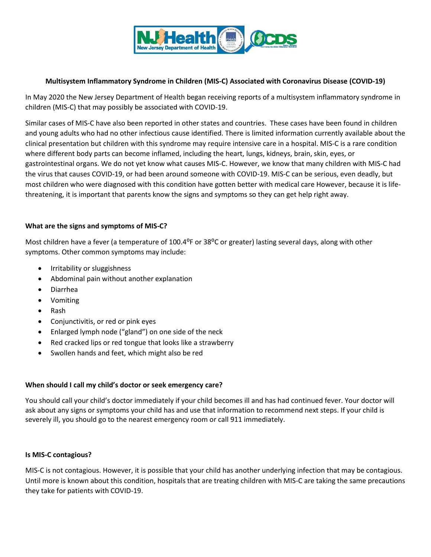

## **Multisystem Inflammatory Syndrome in Children (MIS-C) Associated with Coronavirus Disease (COVID-19)**

In May 2020 the New Jersey Department of Health began receiving reports of a multisystem inflammatory syndrome in children (MIS-C) that may possibly be associated with COVID-19.

Similar cases of MIS-C have also been reported in other states and countries. These cases have been found in children and young adults who had no other infectious cause identified. There is limited information currently available about the clinical presentation but children with this syndrome may require intensive care in a hospital. MIS-C is a rare condition where different body parts can become inflamed, including the heart, lungs, kidneys, brain, skin, eyes, or gastrointestinal organs. We do not yet know what causes MIS-C. However, we know that many children with MIS-C had the virus that causes [COVID-19,](https://www.cdc.gov/coronavirus/2019-ncov/index.html) or had been around someone with COVID-19. MIS-C can be serious, even deadly, but most children who were diagnosed with this condition have gotten better with medical care However, because it is lifethreatening, it is important that parents know the signs and symptoms so they can get help right away.

## **What are the signs and symptoms of MIS-C?**

Most children have a fever (a temperature of 100.4<sup>o</sup>F or 38<sup>o</sup>C or greater) lasting several days, along with other symptoms. Other common symptoms may include:

- Irritability or sluggishness
- Abdominal pain without another explanation
- Diarrhea
- Vomiting
- Rash
- Conjunctivitis, or red or pink eyes
- Enlarged lymph node ("gland") on one side of the neck
- Red cracked lips or red tongue that looks like a strawberry
- Swollen hands and feet, which might also be red

## **When should I call my child's doctor or seek emergency care?**

You should call your child's doctor immediately if your child becomes ill and has had continued fever. Your doctor will ask about any signs or symptoms your child has and use that information to recommend next steps. If your child is severely ill, you should go to the nearest emergency room or call 911 immediately.

## **Is MIS-C contagious?**

MIS-C is not contagious. However, it is possible that your child has another underlying infection that may be contagious. Until more is known about this condition, hospitals that are treating children with MIS-C are taking the same precautions they take for patients with COVID-19.